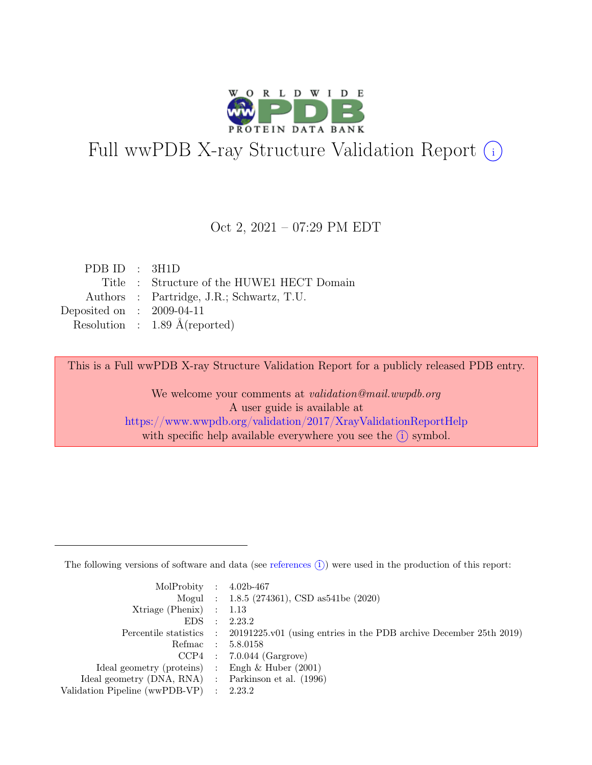

# Full wwPDB X-ray Structure Validation Report  $(i)$

#### Oct 2, 2021 – 07:29 PM EDT

| PDBID : 3H1D                |                                            |
|-----------------------------|--------------------------------------------|
|                             | Title : Structure of the HUWE1 HECT Domain |
|                             | Authors : Partridge, J.R.; Schwartz, T.U.  |
| Deposited on : $2009-04-11$ |                                            |
|                             | Resolution : $1.89 \text{ Å}$ (reported)   |

This is a Full wwPDB X-ray Structure Validation Report for a publicly released PDB entry.

We welcome your comments at validation@mail.wwpdb.org A user guide is available at <https://www.wwpdb.org/validation/2017/XrayValidationReportHelp> with specific help available everywhere you see the  $(i)$  symbol.

The following versions of software and data (see [references](https://www.wwpdb.org/validation/2017/XrayValidationReportHelp#references)  $(i)$ ) were used in the production of this report:

| MolProbity : $4.02b-467$                            |           |                                                                                            |
|-----------------------------------------------------|-----------|--------------------------------------------------------------------------------------------|
|                                                     |           | Mogul : 1.8.5 (274361), CSD as 541 be (2020)                                               |
| $Xtriangle (Phenix)$ : 1.13                         |           |                                                                                            |
| EDS                                                 | $\cdot$ : | 2.23.2                                                                                     |
|                                                     |           | Percentile statistics : 20191225.v01 (using entries in the PDB archive December 25th 2019) |
| Refmac : 5.8.0158                                   |           |                                                                                            |
|                                                     |           | $CCP4$ : 7.0.044 (Gargrove)                                                                |
| Ideal geometry (proteins) : Engh $\&$ Huber (2001)  |           |                                                                                            |
| Ideal geometry (DNA, RNA) : Parkinson et al. (1996) |           |                                                                                            |
| Validation Pipeline (wwPDB-VP) : 2.23.2             |           |                                                                                            |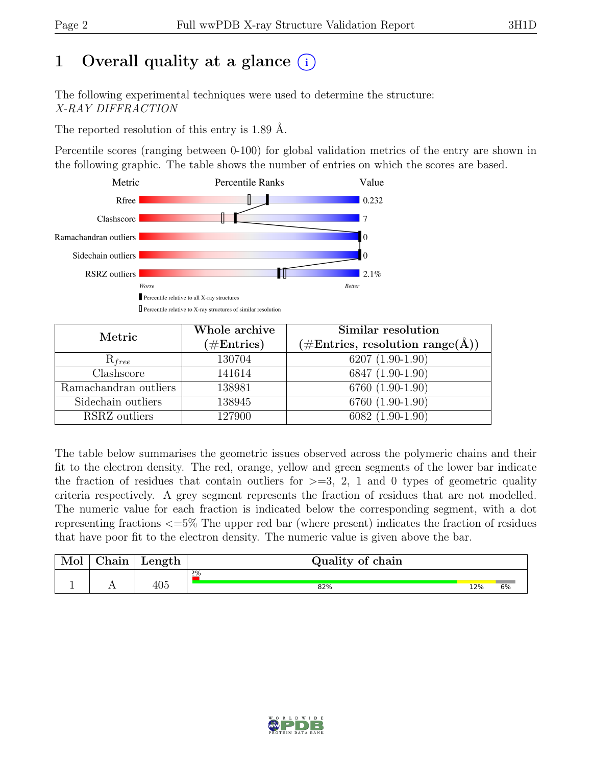# 1 Overall quality at a glance  $(i)$

The following experimental techniques were used to determine the structure: X-RAY DIFFRACTION

The reported resolution of this entry is 1.89 Å.

Percentile scores (ranging between 0-100) for global validation metrics of the entry are shown in the following graphic. The table shows the number of entries on which the scores are based.



| Metric                | Whole archive<br>$(\#Entries)$ | Similar resolution<br>$(\# \text{Entries}, \text{ resolution } \text{range}(\AA))$ |
|-----------------------|--------------------------------|------------------------------------------------------------------------------------|
| $R_{free}$            | 130704                         | $6207(1.90-1.90)$                                                                  |
| Clashscore            | 141614                         | 6847 (1.90-1.90)                                                                   |
| Ramachandran outliers | 138981                         | 6760 (1.90-1.90)                                                                   |
| Sidechain outliers    | 138945                         | 6760 (1.90-1.90)                                                                   |
| RSRZ outliers         | 127900                         | $6082(1.90-1.90)$                                                                  |

The table below summarises the geometric issues observed across the polymeric chains and their fit to the electron density. The red, orange, yellow and green segments of the lower bar indicate the fraction of residues that contain outliers for  $\geq$ =3, 2, 1 and 0 types of geometric quality criteria respectively. A grey segment represents the fraction of residues that are not modelled. The numeric value for each fraction is indicated below the corresponding segment, with a dot representing fractions <=5% The upper red bar (where present) indicates the fraction of residues that have poor fit to the electron density. The numeric value is given above the bar.

| Mol | $\sim$ $\sim$<br>'hain | Length     | Quality of chain |     |    |
|-----|------------------------|------------|------------------|-----|----|
|     |                        |            | $2\%$            |     |    |
|     | . .                    | 10F<br>4U5 | 82%              | 12% | 6% |

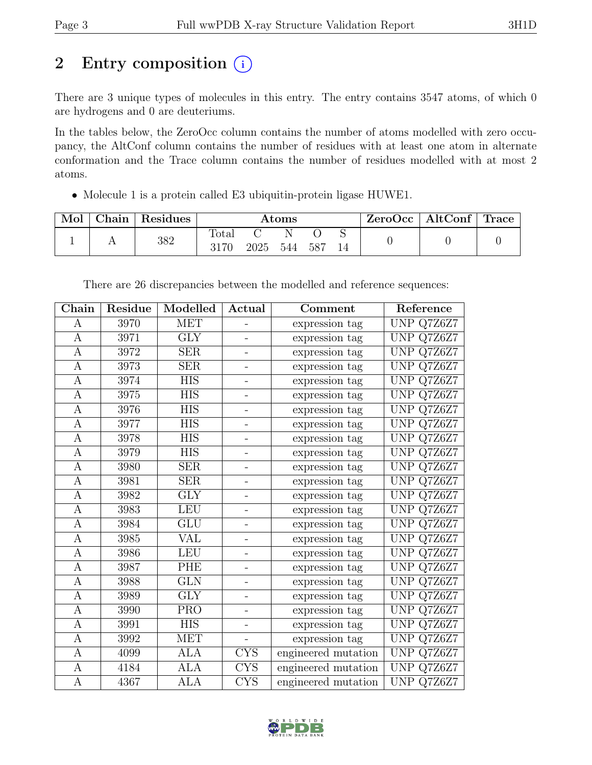# 2 Entry composition  $(i)$

There are 3 unique types of molecules in this entry. The entry contains 3547 atoms, of which 0 are hydrogens and 0 are deuteriums.

In the tables below, the ZeroOcc column contains the number of atoms modelled with zero occupancy, the AltConf column contains the number of residues with at least one atom in alternate conformation and the Trace column contains the number of residues modelled with at most 2 atoms.

• Molecule 1 is a protein called E3 ubiquitin-protein ligase HUWE1.

| Mol | Chain | Residues | Atoms         |      |          | ZeroOcc | $\vert$ AltConf $\vert$ | Trace |  |  |
|-----|-------|----------|---------------|------|----------|---------|-------------------------|-------|--|--|
|     |       | 382      | Total<br>3170 | 2025 | N<br>544 | 587     |                         |       |  |  |

| ${\rm Chain}$ | Residue | Modelled                | $\boldsymbol{\operatorname{Actual}}$<br>Comment |                     | Reference            |
|---------------|---------|-------------------------|-------------------------------------------------|---------------------|----------------------|
| A             | 3970    | <b>MET</b>              | $\overline{a}$                                  | expression tag      | UNP Q7Z6Z7           |
| A             | 3971    | <b>GLY</b>              |                                                 | expression tag      | UNP Q7Z6Z7           |
| A             | 3972    | SER                     | $\overline{\phantom{0}}$                        | expression tag      | UNP Q7Z6Z7           |
| A             | 3973    | <b>SER</b>              | $\overline{\phantom{0}}$                        | expression tag      | UNP Q7Z6Z7           |
| A             | 3974    | $\overline{\text{HIS}}$ | $\overline{\phantom{0}}$                        | expression tag      | UNP Q7Z6Z7           |
| A             | 3975    | <b>HIS</b>              | $\overline{\phantom{0}}$                        | expression tag      | UNP Q7Z6Z7           |
| A             | 3976    | <b>HIS</b>              | $\overline{\phantom{0}}$                        | expression tag      | UNP Q7Z6Z7           |
| A             | 3977    | <b>HIS</b>              | $\blacksquare$                                  | expression tag      | UNP Q7Z6Z7           |
| $\mathbf{A}$  | 3978    | <b>HIS</b>              | $\overline{\phantom{0}}$                        | expression tag      | UNP Q7Z6Z7           |
| А             | 3979    | <b>HIS</b>              | $\overline{\phantom{0}}$                        | expression tag      | UNP Q7Z6Z7           |
| A             | 3980    | <b>SER</b>              | $\overline{a}$                                  | expression tag      | UNP Q7Z6Z7           |
| A             | 3981    | SER                     | $\overline{\phantom{0}}$                        | expression tag      | UNP Q7Z6Z7           |
| A             | 3982    | <b>GLY</b>              | -                                               | expression tag      | UNP Q7Z6Z7           |
| А             | 3983    | <b>LEU</b>              | $\overline{\phantom{0}}$                        | expression tag      | UNP Q7Z6Z7           |
| А             | 3984    | GLU                     | $\overline{\phantom{0}}$                        | expression tag      | UNP Q7Z6Z7           |
| $\mathbf{A}$  | 3985    | VAL                     | $\overline{\phantom{0}}$                        | expression tag      | UNP Q7Z6Z7           |
| A             | 3986    | <b>LEU</b>              | $\overline{\phantom{0}}$                        | expression tag      | UNP Q7Z6Z7           |
| А             | 3987    | PHE                     |                                                 | expression tag      | UNP Q7Z6Z7           |
| A             | 3988    | <b>GLN</b>              | $\overline{a}$                                  | expression tag      | UNP Q7Z6Z7           |
| А             | 3989    | <b>GLY</b>              | $\overline{\phantom{0}}$                        | expression tag      | UNP Q7Z6Z7           |
| A             | 3990    | <b>PRO</b>              | -                                               | expression tag      | UNP Q7Z6Z7           |
| А             | 3991    | <b>HIS</b>              |                                                 | expression tag      | UNP Q7Z6Z7           |
| A             | 3992    | <b>MET</b>              | $\Box$                                          | expression tag      | UNP Q7Z6Z7           |
| А             | 4099    | <b>ALA</b>              | $\overline{\text{CYS}}$                         | engineered mutation | UNP Q7Z6Z7           |
| А             | 4184    | $\overline{ALA}$        | <b>CYS</b>                                      | engineered mutation | <b>UNP</b><br>Q7Z6Z7 |
| А             | 4367    | <b>ALA</b>              | <b>CYS</b>                                      | engineered mutation | UNP Q7Z6Z7           |

There are 26 discrepancies between the modelled and reference sequences:

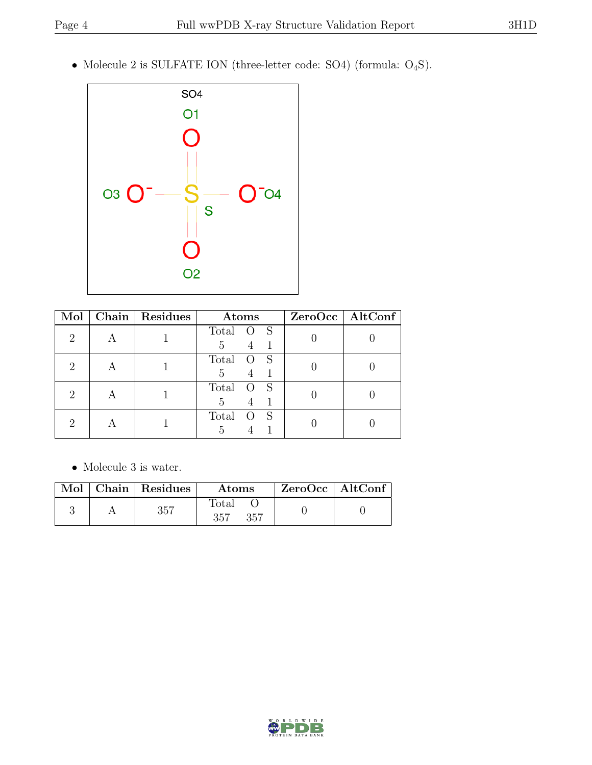• Molecule 2 is SULFATE ION (three-letter code: SO4) (formula: O4S).



| Mol           | Chain   Residues | Atoms                                 | ZeroOcc   AltConf |
|---------------|------------------|---------------------------------------|-------------------|
| 2             |                  | <sub>S</sub><br>Total<br>$\circ$<br>5 |                   |
|               |                  | Total<br>Ő<br>5                       |                   |
| $\mathcal{D}$ |                  | Total<br>5                            |                   |
|               |                  | Total                                 |                   |

 $\bullet\,$  Molecule 3 is water.

|  | Mol   Chain   Residues | <b>Atoms</b>        | ZeroOcc   AltConf |  |
|--|------------------------|---------------------|-------------------|--|
|  | $357\,$                | Total<br>357<br>357 |                   |  |

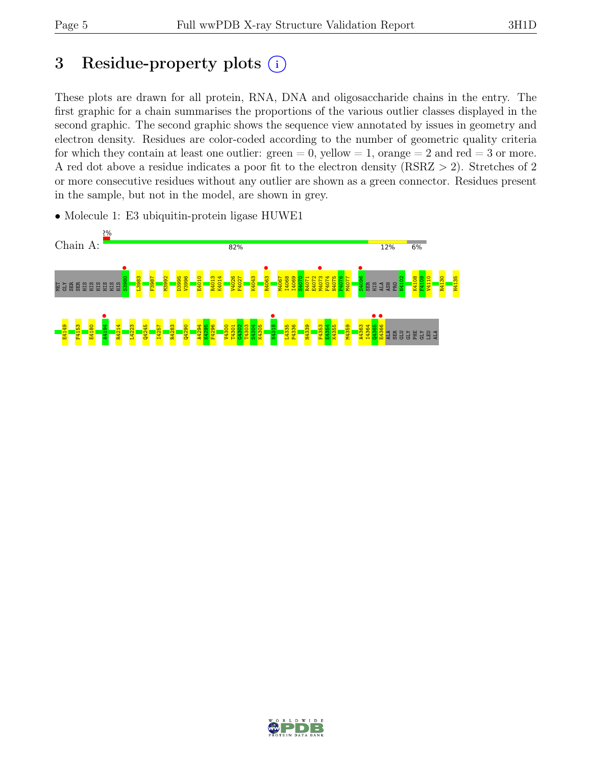# 3 Residue-property plots  $(i)$

These plots are drawn for all protein, RNA, DNA and oligosaccharide chains in the entry. The first graphic for a chain summarises the proportions of the various outlier classes displayed in the second graphic. The second graphic shows the sequence view annotated by issues in geometry and electron density. Residues are color-coded according to the number of geometric quality criteria for which they contain at least one outlier:  $green = 0$ , yellow  $= 1$ , orange  $= 2$  and red  $= 3$  or more. A red dot above a residue indicates a poor fit to the electron density (RSRZ > 2). Stretches of 2 or more consecutive residues without any outlier are shown as a green connector. Residues present in the sample, but not in the model, are shown in grey.



• Molecule 1: E3 ubiquitin-protein ligase HUWE1

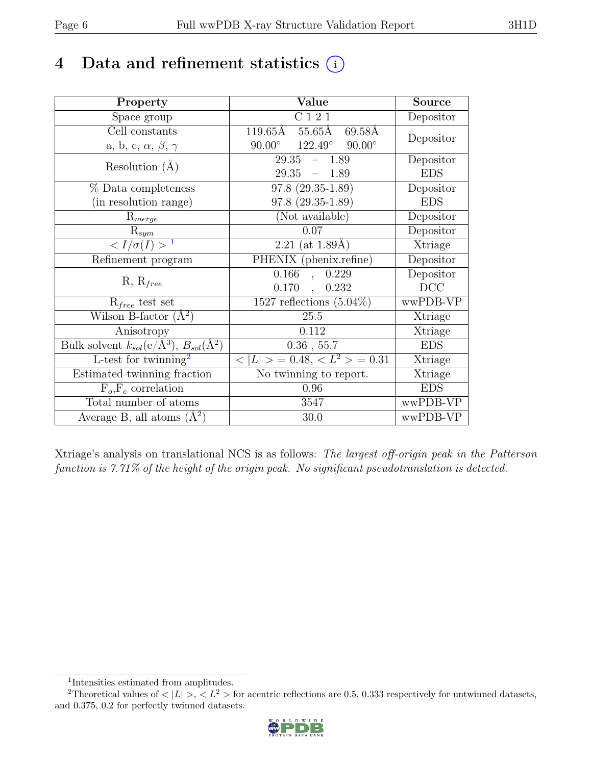## 4 Data and refinement statistics  $(i)$

| Property                                                         | Value                                              | <b>Source</b> |
|------------------------------------------------------------------|----------------------------------------------------|---------------|
| Space group                                                      | C121                                               | Depositor     |
| Cell constants                                                   | 119.65Å<br>55.65Å<br>69.58Å                        |               |
| a, b, c, $\alpha$ , $\beta$ , $\gamma$                           | $122.49^\circ$<br>$90.00^{\circ}$<br>$90.00^\circ$ | Depositor     |
| Resolution $(A)$                                                 | 29.35<br>$-1.89$                                   | Depositor     |
|                                                                  | 29.35<br>$-1.89$                                   | <b>EDS</b>    |
| % Data completeness                                              | $97.8(29.35-1.89)$                                 | Depositor     |
| (in resolution range)                                            | $97.8(29.35-1.89)$                                 | <b>EDS</b>    |
| $R_{merge}$                                                      | (Not available)                                    | Depositor     |
| $\mathrm{R}_{sym}$                                               | 0.07                                               | Depositor     |
| $\langle I/\sigma(I) \rangle$ <sup>1</sup>                       | $2.21$ (at 1.89Å)                                  | Xtriage       |
| Refinement program                                               | PHENIX (phenix.refine)                             | Depositor     |
| $R, R_{free}$                                                    | 0.166<br>0.229<br>$\ddot{\phantom{0}}$             | Depositor     |
|                                                                  | 0.170,<br>0.232                                    | DCC           |
| $R_{free}$ test set                                              | $1527$ reflections $(5.04\%)$                      | wwPDB-VP      |
| Wilson B-factor $(A^2)$                                          | 25.5                                               | Xtriage       |
| Anisotropy                                                       | 0.112                                              | Xtriage       |
| Bulk solvent $k_{sol}(\text{e}/\text{A}^3), B_{sol}(\text{A}^2)$ | $0.36$ , 55.7                                      | <b>EDS</b>    |
| L-test for twinning <sup>2</sup>                                 | $< L >$ = 0.48, $< L^2 >$ = 0.31                   | Xtriage       |
| Estimated twinning fraction                                      | $\overline{\text{No}}$ twinning to report.         | Xtriage       |
| $F_o, F_c$ correlation                                           | 0.96                                               | <b>EDS</b>    |
| Total number of atoms                                            | 3547                                               | wwPDB-VP      |
| Average B, all atoms $(A^2)$                                     | 30.0                                               | wwPDB-VP      |

Xtriage's analysis on translational NCS is as follows: The largest off-origin peak in the Patterson function is 7.71% of the height of the origin peak. No significant pseudotranslation is detected.

<sup>&</sup>lt;sup>2</sup>Theoretical values of  $\langle |L| \rangle$ ,  $\langle L^2 \rangle$  for acentric reflections are 0.5, 0.333 respectively for untwinned datasets, and 0.375, 0.2 for perfectly twinned datasets.



<span id="page-5-1"></span><span id="page-5-0"></span><sup>1</sup> Intensities estimated from amplitudes.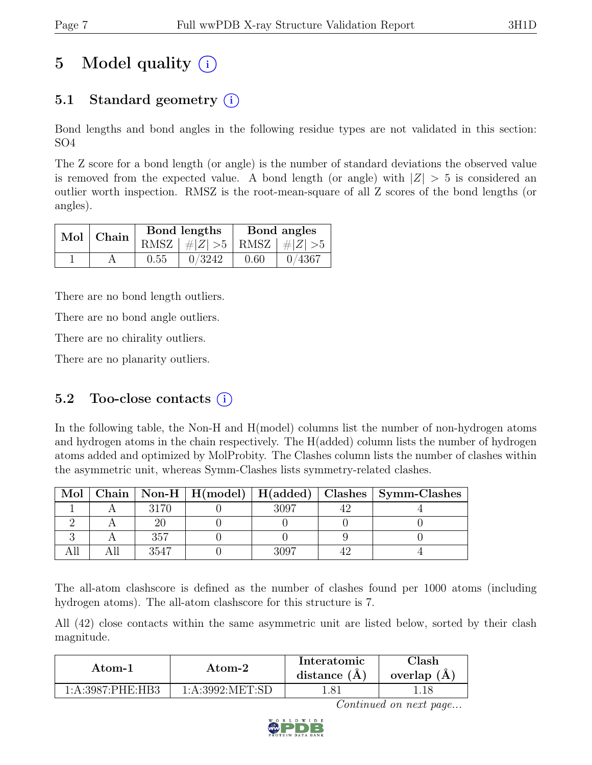# 5 Model quality  $(i)$

## 5.1 Standard geometry  $(i)$

Bond lengths and bond angles in the following residue types are not validated in this section: SO4

The Z score for a bond length (or angle) is the number of standard deviations the observed value is removed from the expected value. A bond length (or angle) with  $|Z| > 5$  is considered an outlier worth inspection. RMSZ is the root-mean-square of all Z scores of the bond lengths (or angles).

| Mol Chain |      | Bond lengths                    | Bond angles |        |  |
|-----------|------|---------------------------------|-------------|--------|--|
|           |      | RMSZ $ #Z  > 5$ RMSZ $ #Z  > 5$ |             |        |  |
|           | 0.55 | 0/3242                          | 0.60        | 0/4367 |  |

There are no bond length outliers.

There are no bond angle outliers.

There are no chirality outliers.

There are no planarity outliers.

### 5.2 Too-close contacts  $(i)$

In the following table, the Non-H and H(model) columns list the number of non-hydrogen atoms and hydrogen atoms in the chain respectively. The H(added) column lists the number of hydrogen atoms added and optimized by MolProbity. The Clashes column lists the number of clashes within the asymmetric unit, whereas Symm-Clashes lists symmetry-related clashes.

| Mol |      |      | Chain   Non-H   H(model)   H(added)   Clashes   Symm-Clashes |
|-----|------|------|--------------------------------------------------------------|
|     | 3170 | 3007 |                                                              |
|     |      |      |                                                              |
|     | 357  |      |                                                              |
|     | 3547 |      |                                                              |

The all-atom clashscore is defined as the number of clashes found per 1000 atoms (including hydrogen atoms). The all-atom clashscore for this structure is 7.

All (42) close contacts within the same asymmetric unit are listed below, sorted by their clash magnitude.

| Atom-1           | Atom-2            | Interatomic<br>distance $(A)$ | $\cap$ lash<br>overlap $(A)$ |
|------------------|-------------------|-------------------------------|------------------------------|
| 1:A:3987:PHE:HB3 | 1: A:3992: MET:SD | l.81                          |                              |

Continued on next page...

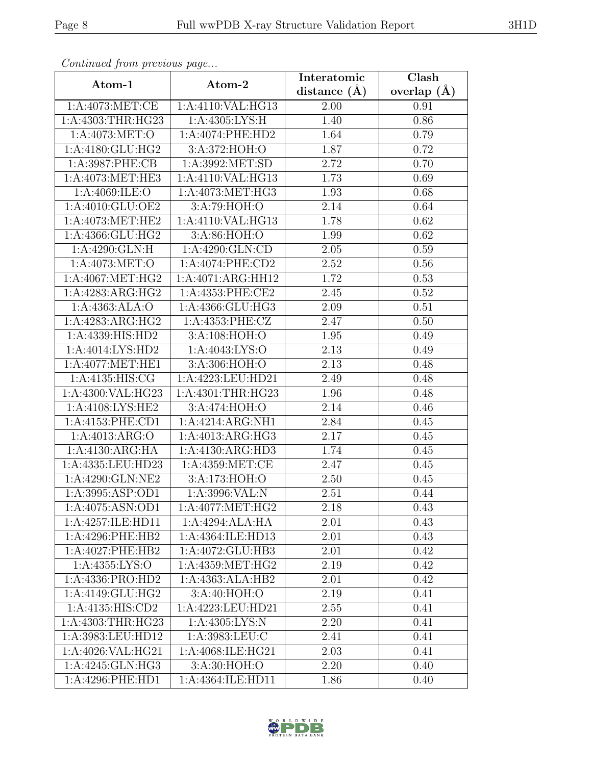|                      |                     | Interatomic      | Clash           |
|----------------------|---------------------|------------------|-----------------|
| Atom-1               | Atom-2              | distance $(\AA)$ | overlap $(\AA)$ |
| 1:A:4073:MET:CE      | 1:A:4110:VAL:HG13   | 2.00             | 0.91            |
| 1:A:4303:THR:HG23    | 1: A:4305: LYS:H    | 1.40             | 0.86            |
| 1:A:4073:MET:O       | 1:A:4074:PHE:HD2    | 1.64             | 0.79            |
| 1:A:4180:GLU:HG2     | 3:A:372:HOH:O       | 1.87             | 0.72            |
| 1:A:3987:PHE:CB      | 1:A:3992:MET:SD     | 2.72             | 0.70            |
| 1:A:4073:MET:HE3     | 1:A:4110:VAL:HG13   | 1.73             | 0.69            |
| 1:A:4069:ILE:O       | 1:A:4073:MET:HG3    | 1.93             | 0.68            |
| 1:A:4010:GLU:OE2     | 3: A:79: HOH:O      | 2.14             | 0.64            |
| 1:A:4073:MET:HE2     | 1:A:4110:VAL:HG13   | 1.78             | 0.62            |
| 1:A:4366:GLU:HG2     | 3:A:86:HOH:O        | 1.99             | 0.62            |
| 1:A:4290:GLN:H       | 1:A:4290:GLN:CD     | 2.05             | 0.59            |
| 1: A:4073: MET:O     | 1:A:4074:PHE:CD2    | 2.52             | 0.56            |
| 1: A:4067: MET:HG2   | 1:A:4071:ARG:HH12   | 1.72             | 0.53            |
| 1:A:4283:ARG:HG2     | 1:A:4353:PHE:CE2    | 2.45             | 0.52            |
| 1:A:4363:ALA:O       | 1:A:4366:GLU:HG3    | 2.09             | 0.51            |
| 1:A:4283:ARG:HG2     | 1: A: 4353: PHE: CZ | 2.47             | 0.50            |
| 1:A:4339:HIS:HD2     | 3:A:108:HOH:O       | 1.95             | 0.49            |
| 1:A:4014:LYS:HD2     | 1:A:4043:LYS:O      | 2.13             | 0.49            |
| 1:A:4077:MET:HE1     | 3:A:306:HOH:O       | 2.13             | 0.48            |
| 1:A:4135:HIS:CG      | 1:A:4223:LEU:HD21   | 2.49             | 0.48            |
| 1:A:4300:VAL:HG23    | 1:A:4301:THR:HG23   | 1.96             | 0.48            |
| 1:A:4108:LYS:HE2     | 3:A:474:HOH:O       | 2.14             | 0.46            |
| 1: A:4153: PHE:CD1   | 1:A:4214:ARG:NH1    | 2.84             | 0.45            |
| 1:A:4013:ARG:O       | 1:A:4013:ARG:HG3    | 2.17             | 0.45            |
| 1:A:4130:ARG:HA      | 1:A:4130:ARG:HD3    | 1.74             | 0.45            |
| 1:A:4335:LEU:HD23    | 1:A:4359:MET:CE     | 2.47             | 0.45            |
| 1:A:4290:GLN:NE2     | 3:A:173:HOH:O       | 2.50             | 0.45            |
| 1:A:3995:ASP:OD1     | 1: A:3996: VAL: N   | 2.51             | 0.44            |
| 1:A:4075:ASN:OD1     | 1:A:4077:MET:HG2    | 2.18             | 0.43            |
| 1:A:4257:ILE:HD11    | 1:A:4294:ALA:HA     | 2.01             | 0.43            |
| 1:A:4296:PHE:HB2     | 1:A:4364:ILE:HD13   | 2.01             | 0.43            |
| 1:A:4027:PHE:HB2     | 1:A:4072:GLU:HB3    | 2.01             | 0.42            |
| 1: A: 4355: LYS: O   | 1:A:4359:MET:HG2    | 2.19             | 0.42            |
| 1:A:4336:PRO:HD2     | 1:A:4363:ALA:HB2    | 2.01             | 0.42            |
| 1:A:4149:GLU:HG2     | 3: A:40: HOH:O      | 2.19             | 0.41            |
| 1: A: 4135: HIS: CD2 | 1:A:4223:LEU:HD21   | 2.55             | 0.41            |
| 1:A:4303:THR:HG23    | 1: A: 4305: LYS: N  | 2.20             | 0.41            |
| 1:A:3983:LEU:HD12    | 1:A:3983:LEU:C      | 2.41             | 0.41            |
| 1:A:4026:VAL:HG21    | 1:A:4068:ILE:HG21   | 2.03             | 0.41            |
| 1:A:4245:GLN:HG3     | 3:A:30:HOH:O        | 2.20             | 0.40            |
| 1:A:4296:PHE:HD1     | 1:A:4364:ILE:HD11   | 1.86             | 0.40            |

Continued from previous page.

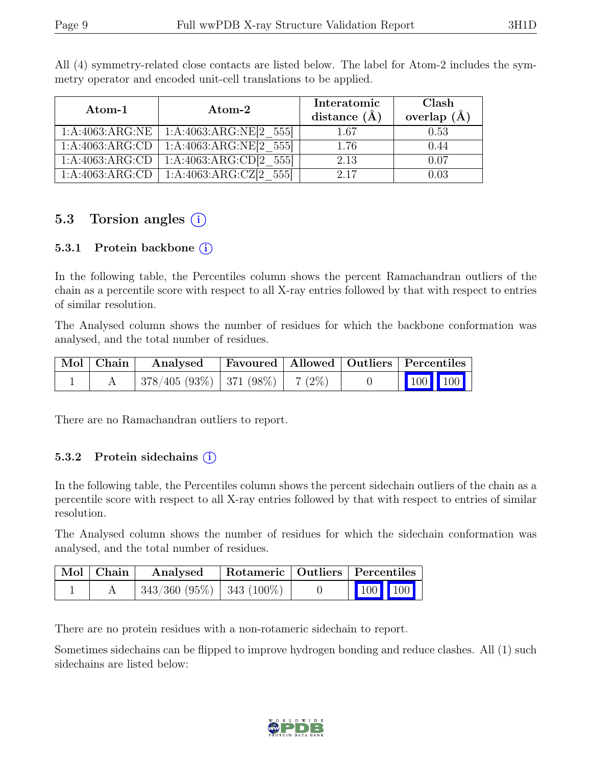| Atom-1          | Atom-2                     | Interatomic<br>distance $(\AA)$ | Clash<br>overlap $(\AA)$ |  |
|-----------------|----------------------------|---------------------------------|--------------------------|--|
|                 |                            |                                 |                          |  |
| 1:A:4063:ARG:NE | 1:A:4063:ARG:NE[2 555]     | 1.67                            | 0.53                     |  |
| 1:A:4063:ARG:CD | 1:A:4063:ARG:NE[2 555]     | 1.76                            | 0.44                     |  |
| 1:A:4063:ARG:CD | $1:A:4063:ARG:CD[2_555]$   | 2.13                            | 0.07                     |  |
| 1:A:4063:ARG:CD | 1:A:4063:ARG:CZ $[2\;555]$ | 2.17                            | 0.03                     |  |

All (4) symmetry-related close contacts are listed below. The label for Atom-2 includes the symmetry operator and encoded unit-cell translations to be applied.

### 5.3 Torsion angles  $(i)$

#### 5.3.1 Protein backbone (i)

In the following table, the Percentiles column shows the percent Ramachandran outliers of the chain as a percentile score with respect to all X-ray entries followed by that with respect to entries of similar resolution.

The Analysed column shows the number of residues for which the backbone conformation was analysed, and the total number of residues.

| $\vert$ Mol $\vert$ Chain $\vert$ | Analysed                                |  |  | Favoured   Allowed   Outliers   Percentiles                                        |  |
|-----------------------------------|-----------------------------------------|--|--|------------------------------------------------------------------------------------|--|
|                                   | $378/405 (93\%)$   371 (98\%)   7 (2\%) |  |  | $\begin{array}{ c c c c c }\n\hline\n\multicolumn{1}{ c }{100} & 100\n\end{array}$ |  |

There are no Ramachandran outliers to report.

#### 5.3.2 Protein sidechains  $(i)$

In the following table, the Percentiles column shows the percent sidechain outliers of the chain as a percentile score with respect to all X-ray entries followed by that with respect to entries of similar resolution.

The Analysed column shows the number of residues for which the sidechain conformation was analysed, and the total number of residues.

| $\mid$ Mol $\mid$ Chain $\mid$ | Analysed                       | Rotameric   Outliers   Percentiles |                                                            |  |
|--------------------------------|--------------------------------|------------------------------------|------------------------------------------------------------|--|
|                                | $343/360 (95\%)$   343 (100\%) |                                    | $\begin{array}{ c c c c }\n\hline\n100 & 100\n\end{array}$ |  |

There are no protein residues with a non-rotameric sidechain to report.

Sometimes sidechains can be flipped to improve hydrogen bonding and reduce clashes. All (1) such sidechains are listed below:

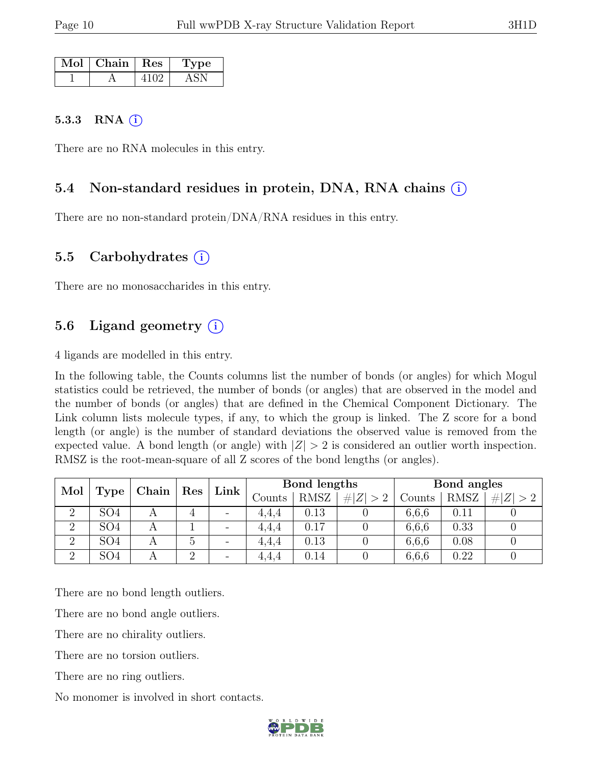| Mol | $C$ hain $\vdash$ | $\operatorname{Res}% \left( \mathcal{N}\right) \equiv\operatorname{Res}(\mathcal{N}_{0},\mathcal{N}_{0})$ | рe |
|-----|-------------------|-----------------------------------------------------------------------------------------------------------|----|
|     |                   |                                                                                                           |    |

#### 5.3.3 RNA  $(i)$

There are no RNA molecules in this entry.

#### 5.4 Non-standard residues in protein, DNA, RNA chains (i)

There are no non-standard protein/DNA/RNA residues in this entry.

#### 5.5 Carbohydrates (i)

There are no monosaccharides in this entry.

### 5.6 Ligand geometry  $(i)$

4 ligands are modelled in this entry.

In the following table, the Counts columns list the number of bonds (or angles) for which Mogul statistics could be retrieved, the number of bonds (or angles) that are observed in the model and the number of bonds (or angles) that are defined in the Chemical Component Dictionary. The Link column lists molecule types, if any, to which the group is linked. The Z score for a bond length (or angle) is the number of standard deviations the observed value is removed from the expected value. A bond length (or angle) with  $|Z| > 2$  is considered an outlier worth inspection. RMSZ is the root-mean-square of all Z scores of the bond lengths (or angles).

| Mol                        |                 | Chain | $\vert$ Res |                          |        |             |         | Bond lengths<br>Link |             |         | Bond angles |  |  |
|----------------------------|-----------------|-------|-------------|--------------------------|--------|-------------|---------|----------------------|-------------|---------|-------------|--|--|
|                            | Type            |       |             |                          | Counts | <b>RMSZ</b> | Z   > 2 | Counts               | <b>RMSZ</b> | Z   > 2 |             |  |  |
| $\Omega$                   | SO <sub>4</sub> |       | 4           | $\overline{\phantom{a}}$ | 4.4.4  | 0.13        |         | 6,6,6                | 0.11        |         |             |  |  |
| $\overline{2}$             | SO <sub>4</sub> |       |             | $\overline{\phantom{m}}$ | 4.4.4  | 0.17        |         | 6,6,6                | 0.33        |         |             |  |  |
| $\Omega$<br>$\overline{2}$ | SO <sub>4</sub> |       | G           | $\overline{\phantom{a}}$ | 4.4.4  | 0.13        |         | 6,6,6                | 0.08        |         |             |  |  |
| റ                          | SO <sub>4</sub> |       | $\Omega$    | $\overline{\phantom{a}}$ | 4,4,4  | 0.14        |         | 6,6,6                | 0.22        |         |             |  |  |

There are no bond length outliers.

There are no bond angle outliers.

There are no chirality outliers.

There are no torsion outliers.

There are no ring outliers.

No monomer is involved in short contacts.

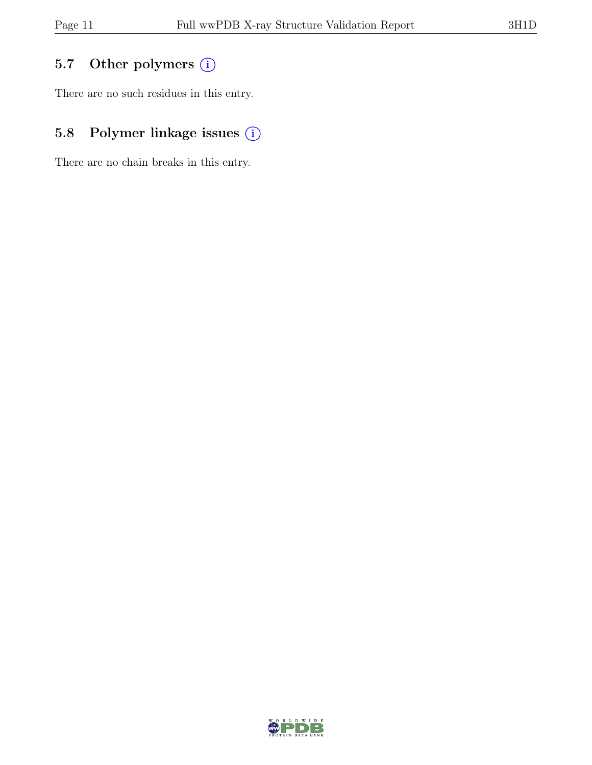## 5.7 Other polymers (i)

There are no such residues in this entry.

## 5.8 Polymer linkage issues (i)

There are no chain breaks in this entry.

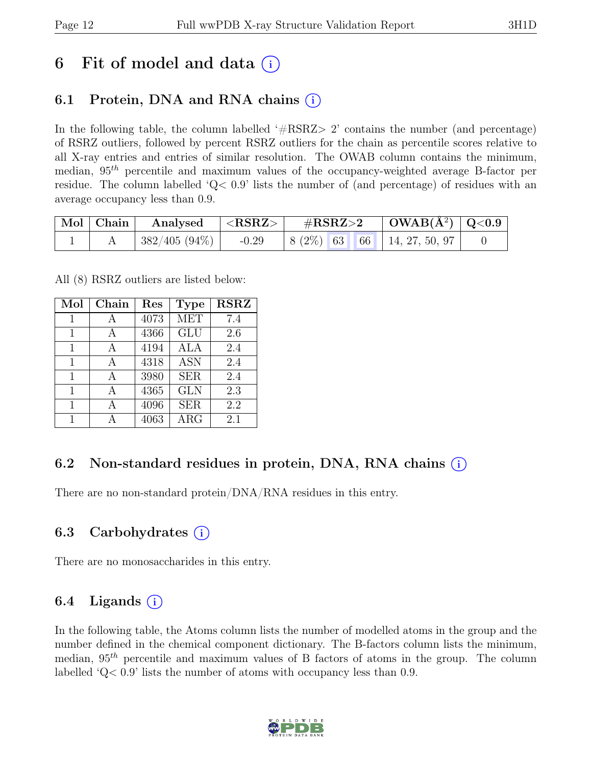## 6 Fit of model and data  $(i)$

## 6.1 Protein, DNA and RNA chains  $(i)$

In the following table, the column labelled  $#RSRZ>2$  contains the number (and percentage) of RSRZ outliers, followed by percent RSRZ outliers for the chain as percentile scores relative to all X-ray entries and entries of similar resolution. The OWAB column contains the minimum, median,  $95<sup>th</sup>$  percentile and maximum values of the occupancy-weighted average B-factor per residue. The column labelled 'Q< 0.9' lists the number of (and percentage) of residues with an average occupancy less than 0.9.

| $\vert$ Mol $\vert$ Chain $\vert$ | $\vert$ Analysed $\vert$ <rsrz> <math>\vert</math></rsrz> | $\mathrm{\#RSRZ{>}2}$ |  | $\vert$ OWAB(Å <sup>2</sup> ) $\vert$ Q<0.9 $\vert$ |                                                            |  |
|-----------------------------------|-----------------------------------------------------------|-----------------------|--|-----------------------------------------------------|------------------------------------------------------------|--|
|                                   | $\mid 382/405$ $(94\%) \mid -0.29$                        |                       |  |                                                     | $\mid 8 \ (2\%) \ \mid 63 \ \mid 66 \ \mid 14, 27, 50, 97$ |  |

All (8) RSRZ outliers are listed below:

| Mol | Chain | Res  | <b>Type</b> | <b>RSRZ</b> |
|-----|-------|------|-------------|-------------|
| 1   |       | 4073 | <b>MET</b>  | 7.4         |
| 1   |       | 4366 | GLU         | 2.6         |
| 1   |       | 4194 | ALA         | 2.4         |
| 1   |       | 4318 | <b>ASN</b>  | 2.4         |
| 1   |       | 3980 | <b>SER</b>  | 2.4         |
| 1   |       | 4365 | <b>GLN</b>  | 2.3         |
| 1   |       | 4096 | <b>SER</b>  | 2.2         |
| 1   |       | 4063 | $\rm{ARG}$  | 2.1         |

### 6.2 Non-standard residues in protein, DNA, RNA chains (i)

There are no non-standard protein/DNA/RNA residues in this entry.

### 6.3 Carbohydrates (i)

There are no monosaccharides in this entry.

### 6.4 Ligands  $(i)$

In the following table, the Atoms column lists the number of modelled atoms in the group and the number defined in the chemical component dictionary. The B-factors column lists the minimum, median,  $95<sup>th</sup>$  percentile and maximum values of B factors of atoms in the group. The column labelled 'Q< 0.9' lists the number of atoms with occupancy less than 0.9.